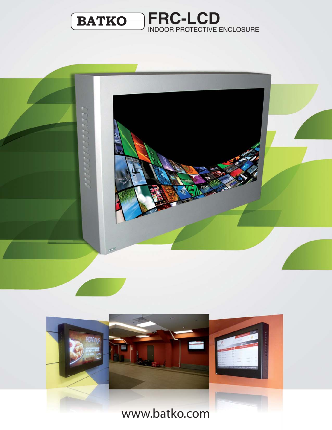